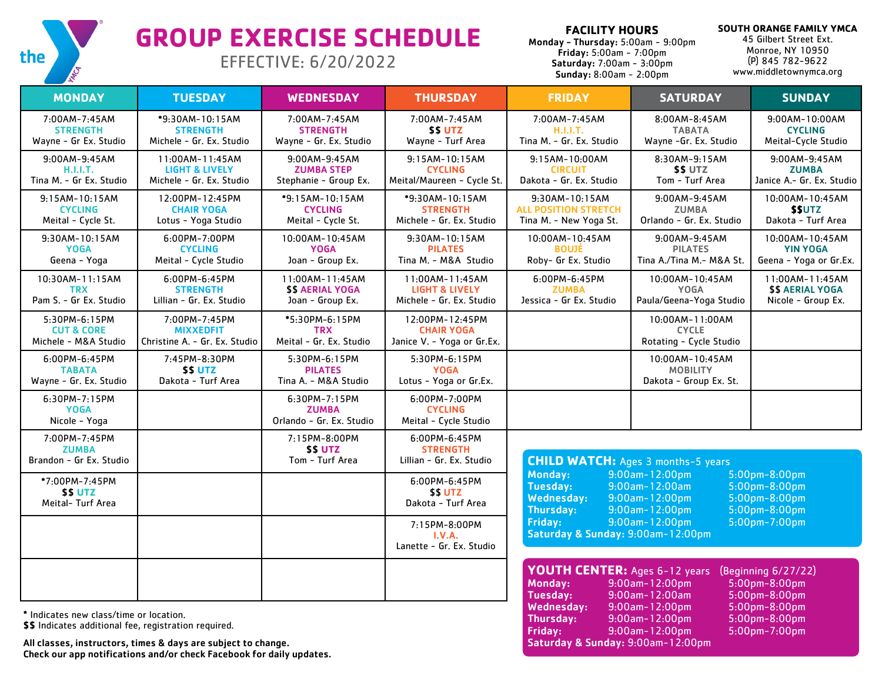

## **GROUP EXERCISE SCHEDULE**

EFFECTIVE: 6/20/2022

**FACILITY HOURS** 

Friday: 9:00am-12:00pm Saturday & Sunday: 9:00am-12:00pm

Monday - Thursday: 5:00am - 9:00pm Friday: 5:00am - 7:00pm Saturday: 7:00am - 3:00pm Sunday: 8:00am - 2:00pm

**SOUTH ORANGE FAMILY YMCA** 45 Gilbert Street Ext.

Monroe, NY 10950 (P) 845 782-9622 www.middletownymca.org

| <b>MONDAY</b>                                                                                    | <b>TUESDAY</b>                                                           | <b>WEDNESDAY</b>                                               | <b>THURSDAY</b>                                                          | <b>FRIDAY</b>                                                                                                                                                             | <b>SATURDAY</b>                                                                   | <b>SUNDAY</b>                                                       |
|--------------------------------------------------------------------------------------------------|--------------------------------------------------------------------------|----------------------------------------------------------------|--------------------------------------------------------------------------|---------------------------------------------------------------------------------------------------------------------------------------------------------------------------|-----------------------------------------------------------------------------------|---------------------------------------------------------------------|
| 7:00AM-7:45AM<br><b>STRENGTH</b><br>Wayne - Gr Ex. Studio                                        | *9:30AM-10:15AM<br><b>STRENGTH</b><br>Michele - Gr. Ex. Studio           | 7:00AM-7:45AM<br><b>STRENGTH</b><br>Wayne - Gr. Ex. Studio     | 7:00AM-7:45AM<br><b>\$\$ UTZ</b><br>Wayne - Turf Area                    | 7:00AM-7:45AM<br>H.I.I.T.<br>Tina M. - Gr. Ex. Studio                                                                                                                     | 8:00AM-8:45AM<br><b>TABATA</b><br>Wayne -Gr. Ex. Studio                           | 9:00AM-10:00AM<br><b>CYCLING</b><br>Meital-Cycle Studio             |
| 9:00AM-9:45AM<br><b>H.I.I.T.</b><br>Tina M. - Gr Ex. Studio                                      | 11:00AM-11:45AM<br><b>LIGHT &amp; LIVELY</b><br>Michele - Gr. Ex. Studio | 9:00AM-9:45AM<br><b>ZUMBA STEP</b><br>Stephanie - Group Ex.    | 9:15AM-10:15AM<br><b>CYCLING</b><br>Meital/Maureen - Cycle St.           | 9:15AM-10:00AM<br><b>CIRCUIT</b><br>Dakota - Gr. Ex. Studio                                                                                                               | 8:30AM-9:15AM<br><b>\$\$UTZ</b><br>Tom - Turf Area                                | 9:00AM-9:45AM<br><b>ZUMBA</b><br>Janice A.- Gr. Ex. Studio          |
| $9:15AM-10:15AM$<br><b>CYCLING</b><br>Meital - Cycle St.                                         | 12:00PM-12:45PM<br><b>CHAIR YOGA</b><br>Lotus - Yoga Studio              | *9:15AM-10:15AM<br><b>CYCLING</b><br>Meital - Cycle St.        | *9:30AM-10:15AM<br><b>STRENGTH</b><br>Michele - Gr. Ex. Studio           | 9:30AM-10:15AM<br><b>ALL POSITION STRETCH</b><br>Tina M. - New Yoga St.                                                                                                   | 9:00AM-9:45AM<br><b>ZUMBA</b><br>Orlando - Gr. Ex. Studio                         | 10:00AM-10:45AM<br><b>SSUTZ</b><br>Dakota - Turf Area               |
| 9:30AM-10:15AM<br><b>YOGA</b><br>Geena - Yoga                                                    | 6:00PM-7:00PM<br><b>CYCLING</b><br>Meital - Cycle Studio                 | 10:00AM-10:45AM<br><b>YOGA</b><br>Joan - Group Ex.             | 9:30AM-10:15AM<br><b>PILATES</b><br>Tina M. - M&A Studio                 | 10:00AM-10:45AM<br><b>BOUJĖ</b><br>Roby- Gr Ex. Studio                                                                                                                    | 9:00AM-9:45AM<br><b>PILATES</b><br>Tina A./Tina M.- M&A St.                       | 10:00AM-10:45AM<br><b>YIN YOGA</b><br>Geena - Yoga or Gr.Ex.        |
| 10:30AM-11:15AM<br><b>TRX</b><br>Pam S. - Gr Ex. Studio                                          | 6:00PM-6:45PM<br><b>STRENGTH</b><br>Lillian - Gr. Ex. Studio             | 11:00AM-11:45AM<br><b>\$\$ AERIAL YOGA</b><br>Joan - Group Ex. | 11:00AM-11:45AM<br><b>LIGHT &amp; LIVELY</b><br>Michele - Gr. Ex. Studio | 6:00PM-6:45PM<br><b>ZUMBA</b><br>Jessica - Gr Ex. Studio                                                                                                                  | 10:00AM-10:45AM<br><b>YOGA</b><br>Paula/Geena-Yoga Studio                         | 11:00AM-11:45AM<br><b>\$\$ AERIAL YOGA</b><br>Nicole - Group Ex.    |
| 5:30PM-6:15PM<br><b>CUT &amp; CORE</b><br>Michele - M&A Studio                                   | 7:00PM-7:45PM<br><b>MIXXEDFIT</b><br>Christine A. - Gr. Ex. Studio       | *5:30PM-6:15PM<br><b>TRX</b><br>Meital - Gr. Ex. Studio        | 12:00PM-12:45PM<br><b>CHAIR YOGA</b><br>Janice V. - Yoga or Gr.Ex.       |                                                                                                                                                                           | 10:00AM-11:00AM<br><b>CYCLE</b><br>Rotating - Cycle Studio                        |                                                                     |
| 6:00PM-6:45PM<br><b>TABATA</b><br>Wayne - Gr. Ex. Studio                                         | 7:45PM-8:30PM<br><b>SS UTZ</b><br>Dakota - Turf Area                     | 5:30PM-6:15PM<br><b>PILATES</b><br>Tina A. - M&A Studio        | 5:30PM-6:15PM<br><b>YOGA</b><br>Lotus - Yoga or Gr.Ex.                   |                                                                                                                                                                           | 10:00AM-10:45AM<br><b>MOBILITY</b><br>Dakota - Group Ex. St.                      |                                                                     |
| 6:30PM-7:15PM<br><b>YOGA</b><br>Nicole - Yoga                                                    |                                                                          | 6:30PM-7:15PM<br><b>ZUMBA</b><br>Orlando - Gr. Ex. Studio      | 6:00PM-7:00PM<br><b>CYCLING</b><br>Meital - Cycle Studio                 |                                                                                                                                                                           |                                                                                   |                                                                     |
| 7:00PM-7:45PM<br><b>ZUMBA</b><br>Brandon - Gr Ex. Studio                                         |                                                                          | 7:15PM-8:00PM<br><b>SS UTZ</b><br>Tom - Turf Area              | 6:00PM-6:45PM<br><b>STRENGTH</b><br>Lillian - Gr. Ex. Studio             | <b>CHILD WATCH:</b> Ages 3 months-5 years                                                                                                                                 |                                                                                   |                                                                     |
| *7:00PM-7:45PM<br><b>SS UTZ</b><br>Meital- Turf Area                                             |                                                                          |                                                                | 6:00PM-6:45PM<br><b>SSUTZ</b><br>Dakota - Turf Area                      | Monday:<br><b>Tuesday:</b><br><b>Wednesday:</b><br>Thursday:                                                                                                              | $9:00$ am-12:00pm<br>$9:00$ am-12:00am<br>9:00am-12:00pm<br>$9:00$ am- $12:00$ pm | $5:00$ pm-8:00pm<br>5:00pm-8:00pm<br>5:00pm-8:00pm<br>5:00pm-8:00pm |
|                                                                                                  |                                                                          |                                                                | 7:15PM-8:00PM<br>I.V.A.<br>Lanette - Gr. Ex. Studio                      | Friday:<br>Saturday & Sunday: 9:00am-12:00pm                                                                                                                              | $9:00$ am-12:00pm<br>5:00pm-7:00pm                                                |                                                                     |
|                                                                                                  |                                                                          |                                                                |                                                                          | YOUTH CENTER: Ages 6-12 years<br>(Beginning 6/27/22)<br>9:00am-12:00pm<br>$5:00$ pm-8:00pm<br><b>Monday:</b><br><b>Tuesday:</b><br>9:00am-12:00am<br>$5:00$ pm $-8:00$ pm |                                                                                   |                                                                     |
| * Indicates new class/time or location.<br>\$\$ Indicates additional fee, registration required. |                                                                          |                                                                |                                                                          | <b>Wednesday:</b><br>Thursday:<br>Friday:                                                                                                                                 | 9:00am-12:00pm<br>9:00am-12:00pm<br>9:00am-12:00pm                                | 5:00pm-8:00pm<br>5:00pm-8:00pm<br>5:00pm-7:00pm                     |

All classes, instructors, times & days are subject to change. Check our app notifications and/or check Facebook for daily updates.